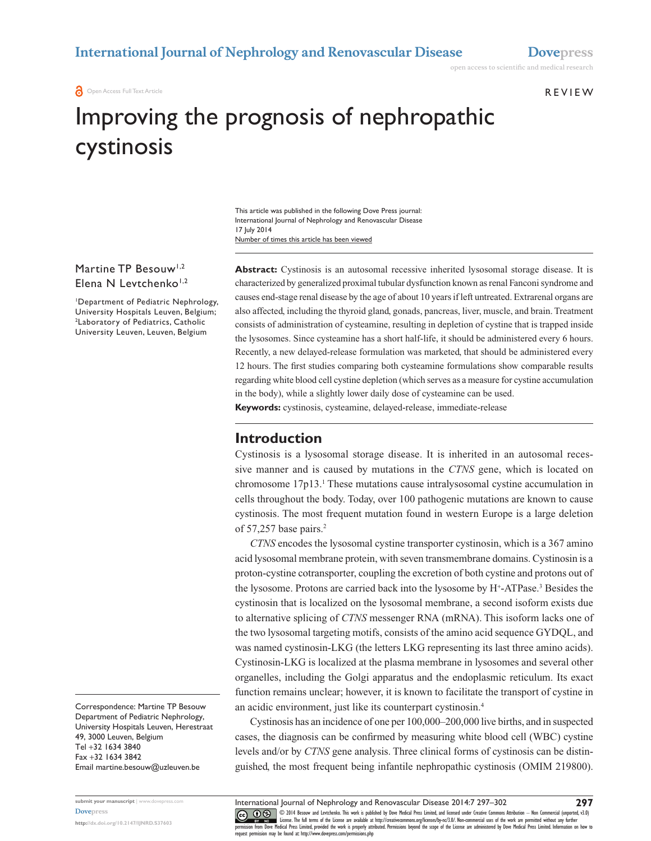open access to scientific and medical research

**REVIEW** 

# Improving the prognosis of nephropathic cystinosis

**Introduction**

of  $57,257$  base pairs.<sup>2</sup>

Number of times this article has been viewed This article was published in the following Dove Press journal: International Journal of Nephrology and Renovascular Disease 17 July 2014

**Abstract:** Cystinosis is an autosomal recessive inherited lysosomal storage disease. It is characterized by generalized proximal tubular dysfunction known as renal Fanconi syndrome and causes end-stage renal disease by the age of about 10 years if left untreated. Extrarenal organs are also affected, including the thyroid gland, gonads, pancreas, liver, muscle, and brain. Treatment consists of administration of cysteamine, resulting in depletion of cystine that is trapped inside the lysosomes. Since cysteamine has a short half-life, it should be administered every 6 hours. Recently, a new delayed-release formulation was marketed, that should be administered every 12 hours. The first studies comparing both cysteamine formulations show comparable results regarding white blood cell cystine depletion (which serves as a measure for cystine accumulation

Cystinosis is a lysosomal storage disease. It is inherited in an autosomal recessive manner and is caused by mutations in the *CTNS* gene, which is located on chromosome 17p13.<sup>1</sup> These mutations cause intralysosomal cystine accumulation in cells throughout the body. Today, over 100 pathogenic mutations are known to cause cystinosis. The most frequent mutation found in western Europe is a large deletion

*CTNS* encodes the lysosomal cystine transporter cystinosin, which is a 367 amino acid lysosomal membrane protein, with seven transmembrane domains. Cystinosin is a proton-cystine cotransporter, coupling the excretion of both cystine and protons out of the lysosome. Protons are carried back into the lysosome by H<sup>+</sup>-ATPase.<sup>3</sup> Besides the cystinosin that is localized on the lysosomal membrane, a second isoform exists due to alternative splicing of *CTNS* messenger RNA (mRNA). This isoform lacks one of the two lysosomal targeting motifs, consists of the amino acid sequence GYDQL, and

in the body), while a slightly lower daily dose of cysteamine can be used. **Keywords:** cystinosis, cysteamine, delayed-release, immediate-release

## Martine TP Besouw<sup>1,2</sup> Elena N Levtchenko $1,2$

1 Department of Pediatric Nephrology, University Hospitals Leuven, Belgium; 2 Laboratory of Pediatrics, Catholic University Leuven, Leuven, Belgium

Correspondence: Martine TP Besouw Department of Pediatric Nephrology, University Hospitals Leuven, Herestraat 49, 3000 Leuven, Belgium Tel +32 1634 3840 Fax +32 1634 3842 Email [martine.besouw@uzleuven.be](mailto:martine.besouw@uzleuven.be)

was named cystinosin-LKG (the letters LKG representing its last three amino acids). Cystinosin-LKG is localized at the plasma membrane in lysosomes and several other organelles, including the Golgi apparatus and the endoplasmic reticulum. Its exact function remains unclear; however, it is known to facilitate the transport of cystine in an acidic environment, just like its counterpart cystinosin.4

Cystinosis has an incidence of one per 100,000–200,000 live births, and in suspected cases, the diagnosis can be confirmed by measuring white blood cell (WBC) cystine levels and/or by *CTNS* gene analysis. Three clinical forms of cystinosis can be distinguished, the most frequent being infantile nephropathic cystinosis (OMIM 219800).

CO ODI 4 Besouw and Levichenko. This work is published by Dove Medical Press Limited, and licensed under Creative Commons Attribution - Non Commercial (unported, v3.0)<br> [permission from Dove Me](http://www.dovepress.com/permissions.php)dical Press Limited, provided request permission may be found at:<http://www.dovepress.com/permissions.php>

**submit your manuscript** | <www.dovepress.com> **[Dovepress](www.dovepress.com)**

**<http://dx.doi.org/10.2147/IJNRD.S37603>**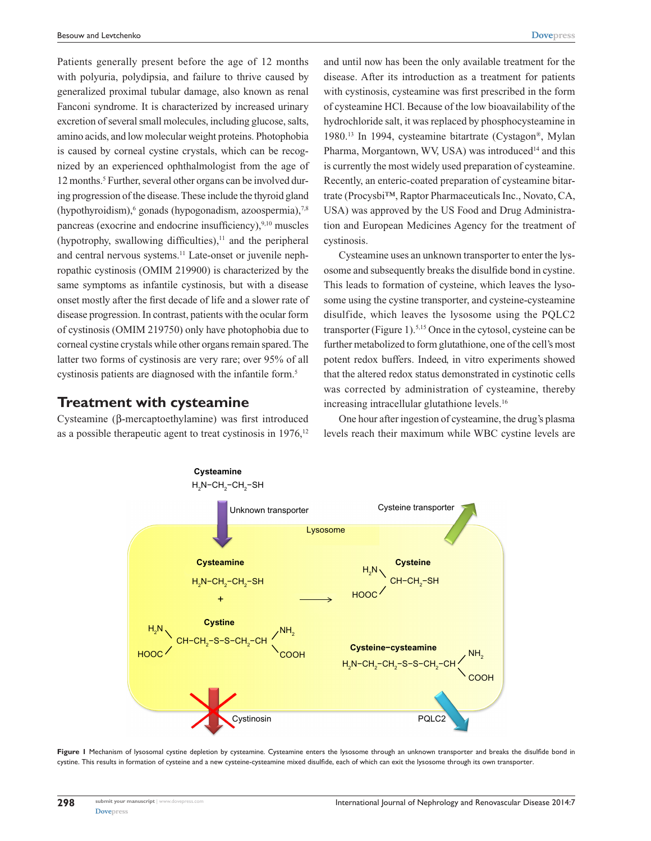Patients generally present before the age of 12 months with polyuria, polydipsia, and failure to thrive caused by generalized proximal tubular damage, also known as renal Fanconi syndrome. It is characterized by increased urinary excretion of several small molecules, including glucose, salts, amino acids, and low molecular weight proteins. Photophobia is caused by corneal cystine crystals, which can be recognized by an experienced ophthalmologist from the age of 12 months.<sup>5</sup> Further, several other organs can be involved during progression of the disease. These include the thyroid gland (hypothyroidism), $6$  gonads (hypogonadism, azoospermia), $7,8$ pancreas (exocrine and endocrine insufficiency), $9,10$  muscles (hypotrophy, swallowing difficulties), $11$  and the peripheral and central nervous systems.<sup>11</sup> Late-onset or juvenile nephropathic cystinosis (OMIM 219900) is characterized by the same symptoms as infantile cystinosis, but with a disease onset mostly after the first decade of life and a slower rate of disease progression. In contrast, patients with the ocular form of cystinosis (OMIM 219750) only have photophobia due to corneal cystine crystals while other organs remain spared. The latter two forms of cystinosis are very rare; over 95% of all cystinosis patients are diagnosed with the infantile form.<sup>5</sup>

## **Treatment with cysteamine**

Cysteamine (β-mercaptoethylamine) was first introduced as a possible therapeutic agent to treat cystinosis in  $1976$ ,<sup>12</sup> and until now has been the only available treatment for the disease. After its introduction as a treatment for patients with cystinosis, cysteamine was first prescribed in the form of cysteamine HCl. Because of the low bioavailability of the hydrochloride salt, it was replaced by phosphocysteamine in 1980.13 In 1994, cysteamine bitartrate (Cystagon®, Mylan Pharma, Morgantown, WV, USA) was introduced<sup>14</sup> and this is currently the most widely used preparation of cysteamine. Recently, an enteric-coated preparation of cysteamine bitartrate (Procysbi™, Raptor Pharmaceuticals Inc., Novato, CA, USA) was approved by the US Food and Drug Administra-

Cysteamine uses an unknown transporter to enter the lysosome and subsequently breaks the disulfide bond in cystine. This leads to formation of cysteine, which leaves the lysosome using the cystine transporter, and cysteine-cysteamine disulfide, which leaves the lysosome using the PQLC2 transporter (Figure 1).5,15 Once in the cytosol, cysteine can be further metabolized to form glutathione, one of the cell's most potent redox buffers. Indeed, in vitro experiments showed that the altered redox status demonstrated in cystinotic cells was corrected by administration of cysteamine, thereby increasing intracellular glutathione levels.<sup>16</sup>

tion and European Medicines Agency for the treatment of

One hour after ingestion of cysteamine, the drug's plasma levels reach their maximum while WBC cystine levels are



cystinosis.

Figure I Mechanism of lysosomal cystine depletion by cysteamine. Cysteamine enters the lysosome through an unknown transporter and breaks the disulfide bond in cystine. This results in formation of cysteine and a new cysteine-cysteamine mixed disulfide, each of which can exit the lysosome through its own transporter.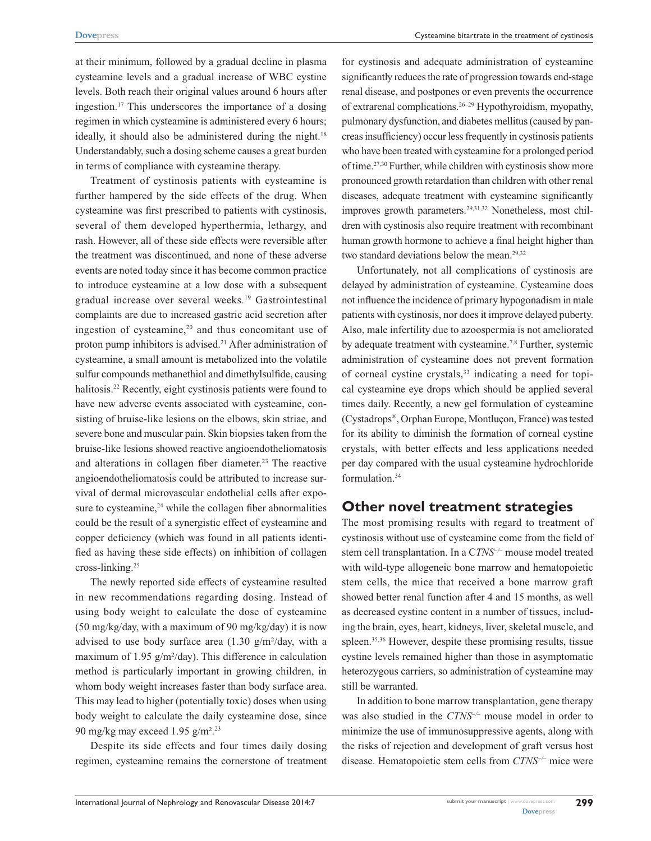at their minimum, followed by a gradual decline in plasma cysteamine levels and a gradual increase of WBC cystine levels. Both reach their original values around 6 hours after ingestion.17 This underscores the importance of a dosing regimen in which cysteamine is administered every 6 hours; ideally, it should also be administered during the night.<sup>18</sup> Understandably, such a dosing scheme causes a great burden in terms of compliance with cysteamine therapy.

Treatment of cystinosis patients with cysteamine is further hampered by the side effects of the drug. When cysteamine was first prescribed to patients with cystinosis, several of them developed hyperthermia, lethargy, and rash. However, all of these side effects were reversible after the treatment was discontinued, and none of these adverse events are noted today since it has become common practice to introduce cysteamine at a low dose with a subsequent gradual increase over several weeks.19 Gastrointestinal complaints are due to increased gastric acid secretion after ingestion of cysteamine,20 and thus concomitant use of proton pump inhibitors is advised.<sup>21</sup> After administration of cysteamine, a small amount is metabolized into the volatile sulfur compounds methanethiol and dimethylsulfide, causing halitosis.<sup>22</sup> Recently, eight cystinosis patients were found to have new adverse events associated with cysteamine, consisting of bruise-like lesions on the elbows, skin striae, and severe bone and muscular pain. Skin biopsies taken from the bruise-like lesions showed reactive angioendotheliomatosis and alterations in collagen fiber diameter.<sup>23</sup> The reactive angioendotheliomatosis could be attributed to increase survival of dermal microvascular endothelial cells after exposure to cysteamine, $24$  while the collagen fiber abnormalities could be the result of a synergistic effect of cysteamine and copper deficiency (which was found in all patients identified as having these side effects) on inhibition of collagen cross-linking.25

The newly reported side effects of cysteamine resulted in new recommendations regarding dosing. Instead of using body weight to calculate the dose of cysteamine  $(50 \text{ mg/kg/day}, \text{with a maximum of 90 mg/kg/day})$  it is now advised to use body surface area  $(1.30 \text{ g/m}^2/\text{day})$ , with a maximum of 1.95 g/m<sup>2</sup>/day). This difference in calculation method is particularly important in growing children, in whom body weight increases faster than body surface area. This may lead to higher (potentially toxic) doses when using body weight to calculate the daily cysteamine dose, since 90 mg/kg may exceed 1.95 g/m².23

Despite its side effects and four times daily dosing regimen, cysteamine remains the cornerstone of treatment for cystinosis and adequate administration of cysteamine significantly reduces the rate of progression towards end-stage renal disease, and postpones or even prevents the occurrence of extrarenal complications.26–29 Hypothyroidism, myopathy, pulmonary dysfunction, and diabetes mellitus (caused by pancreas insufficiency) occur less frequently in cystinosis patients who have been treated with cysteamine for a prolonged period of time.27,30 Further, while children with cystinosis show more pronounced growth retardation than children with other renal diseases, adequate treatment with cysteamine significantly improves growth parameters.<sup>29,31,32</sup> Nonetheless, most children with cystinosis also require treatment with recombinant human growth hormone to achieve a final height higher than two standard deviations below the mean.<sup>29,32</sup>

Unfortunately, not all complications of cystinosis are delayed by administration of cysteamine. Cysteamine does not influence the incidence of primary hypogonadism in male patients with cystinosis, nor does it improve delayed puberty. Also, male infertility due to azoospermia is not ameliorated by adequate treatment with cysteamine.7,8 Further, systemic administration of cysteamine does not prevent formation of corneal cystine crystals,<sup>33</sup> indicating a need for topical cysteamine eye drops which should be applied several times daily. Recently, a new gel formulation of cysteamine (Cystadrops®, Orphan Europe, Montluçon, France) was tested for its ability to diminish the formation of corneal cystine crystals, with better effects and less applications needed per day compared with the usual cysteamine hydrochloride formulation.34

# **Other novel treatment strategies**

The most promising results with regard to treatment of cystinosis without use of cysteamine come from the field of stem cell transplantation. In a C*TNS*−*/*<sup>−</sup> mouse model treated with wild-type allogeneic bone marrow and hematopoietic stem cells, the mice that received a bone marrow graft showed better renal function after 4 and 15 months, as well as decreased cystine content in a number of tissues, including the brain, eyes, heart, kidneys, liver, skeletal muscle, and spleen.<sup>35,36</sup> However, despite these promising results, tissue cystine levels remained higher than those in asymptomatic heterozygous carriers, so administration of cysteamine may still be warranted.

In addition to bone marrow transplantation, gene therapy was also studied in the *CTNS*−*/*<sup>−</sup> mouse model in order to minimize the use of immunosuppressive agents, along with the risks of rejection and development of graft versus host disease. Hematopoietic stem cells from *CTNS*−*/*<sup>−</sup> mice were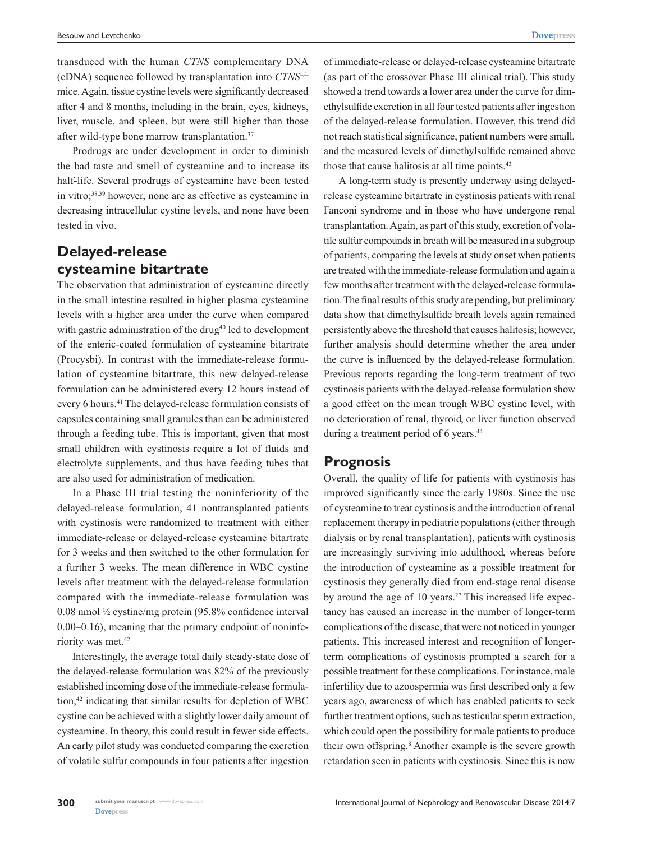transduced with the human *CTNS* complementary DNA (cDNA) sequence followed by transplantation into *CTNS*−*/*<sup>−</sup> mice. Again, tissue cystine levels were significantly decreased after 4 and 8 months, including in the brain, eyes, kidneys, liver, muscle, and spleen, but were still higher than those after wild-type bone marrow transplantation.<sup>37</sup>

Prodrugs are under development in order to diminish the bad taste and smell of cysteamine and to increase its half-life. Several prodrugs of cysteamine have been tested in vitro;38,39 however, none are as effective as cysteamine in decreasing intracellular cystine levels, and none have been tested in vivo.

# **Delayed-release cysteamine bitartrate**

The observation that administration of cysteamine directly in the small intestine resulted in higher plasma cysteamine levels with a higher area under the curve when compared with gastric administration of the drug<sup>40</sup> led to development of the enteric-coated formulation of cysteamine bitartrate (Procysbi). In contrast with the immediate-release formulation of cysteamine bitartrate, this new delayed-release formulation can be administered every 12 hours instead of every 6 hours.<sup>41</sup> The delayed-release formulation consists of capsules containing small granules than can be administered through a feeding tube. This is important, given that most small children with cystinosis require a lot of fluids and electrolyte supplements, and thus have feeding tubes that are also used for administration of medication.

In a Phase III trial testing the noninferiority of the delayed-release formulation, 41 nontransplanted patients with cystinosis were randomized to treatment with either immediate-release or delayed-release cysteamine bitartrate for 3 weeks and then switched to the other formulation for a further 3 weeks. The mean difference in WBC cystine levels after treatment with the delayed-release formulation compared with the immediate-release formulation was 0.08 nmol ½ cystine/mg protein (95.8% confidence interval 0.00–0.16), meaning that the primary endpoint of noninferiority was met.<sup>42</sup>

Interestingly, the average total daily steady-state dose of the delayed-release formulation was 82% of the previously established incoming dose of the immediate-release formulation,42 indicating that similar results for depletion of WBC cystine can be achieved with a slightly lower daily amount of cysteamine. In theory, this could result in fewer side effects. An early pilot study was conducted comparing the excretion of volatile sulfur compounds in four patients after ingestion of immediate-release or delayed-release cysteamine bitartrate (as part of the crossover Phase III clinical trial). This study showed a trend towards a lower area under the curve for dimethylsulfide excretion in all four tested patients after ingestion of the delayed-release formulation. However, this trend did not reach statistical significance, patient numbers were small, and the measured levels of dimethylsulfide remained above those that cause halitosis at all time points.<sup>43</sup>

A long-term study is presently underway using delayedrelease cysteamine bitartrate in cystinosis patients with renal Fanconi syndrome and in those who have undergone renal transplantation. Again, as part of this study, excretion of volatile sulfur compounds in breath will be measured in a subgroup of patients, comparing the levels at study onset when patients are treated with the immediate-release formulation and again a few months after treatment with the delayed-release formulation. The final results of this study are pending, but preliminary data show that dimethylsulfide breath levels again remained persistently above the threshold that causes halitosis; however, further analysis should determine whether the area under the curve is influenced by the delayed-release formulation. Previous reports regarding the long-term treatment of two cystinosis patients with the delayed-release formulation show a good effect on the mean trough WBC cystine level, with no deterioration of renal, thyroid, or liver function observed during a treatment period of 6 years.<sup>44</sup>

# **Prognosis**

Overall, the quality of life for patients with cystinosis has improved significantly since the early 1980s. Since the use of cysteamine to treat cystinosis and the introduction of renal replacement therapy in pediatric populations (either through dialysis or by renal transplantation), patients with cystinosis are increasingly surviving into adulthood, whereas before the introduction of cysteamine as a possible treatment for cystinosis they generally died from end-stage renal disease by around the age of 10 years.<sup>27</sup> This increased life expectancy has caused an increase in the number of longer-term complications of the disease, that were not noticed in younger patients. This increased interest and recognition of longerterm complications of cystinosis prompted a search for a possible treatment for these complications. For instance, male infertility due to azoospermia was first described only a few years ago, awareness of which has enabled patients to seek further treatment options, such as testicular sperm extraction, which could open the possibility for male patients to produce their own offspring.<sup>8</sup> Another example is the severe growth retardation seen in patients with cystinosis. Since this is now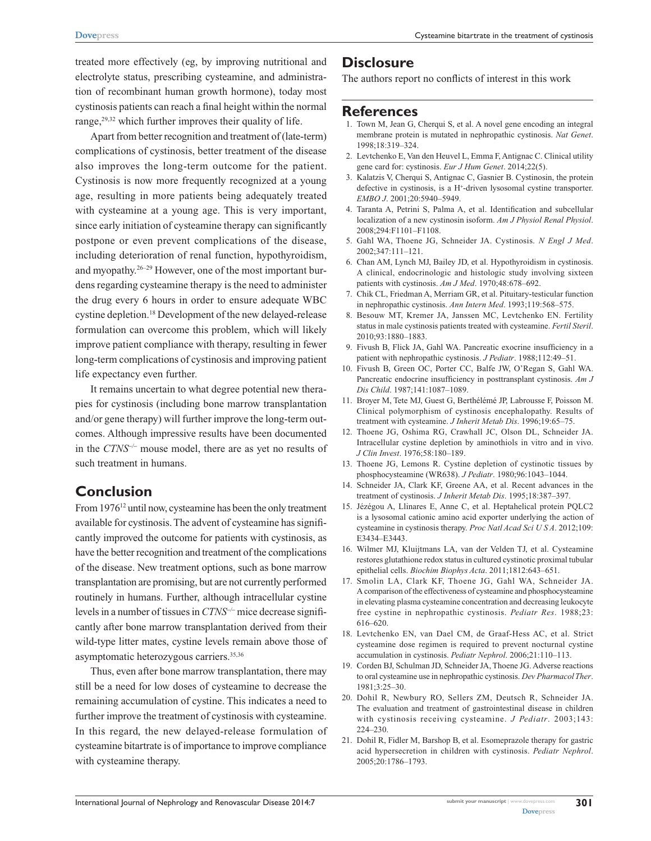treated more effectively (eg, by improving nutritional and electrolyte status, prescribing cysteamine, and administration of recombinant human growth hormone), today most cystinosis patients can reach a final height within the normal range, $29,32$  which further improves their quality of life.

Apart from better recognition and treatment of (late-term) complications of cystinosis, better treatment of the disease also improves the long-term outcome for the patient. Cystinosis is now more frequently recognized at a young age, resulting in more patients being adequately treated with cysteamine at a young age. This is very important, since early initiation of cysteamine therapy can significantly postpone or even prevent complications of the disease, including deterioration of renal function, hypothyroidism, and myopathy.26–29 However, one of the most important burdens regarding cysteamine therapy is the need to administer the drug every 6 hours in order to ensure adequate WBC cystine depletion.18 Development of the new delayed-release formulation can overcome this problem, which will likely improve patient compliance with therapy, resulting in fewer long-term complications of cystinosis and improving patient life expectancy even further.

It remains uncertain to what degree potential new therapies for cystinosis (including bone marrow transplantation and/or gene therapy) will further improve the long-term outcomes. Although impressive results have been documented in the *CTNS*−*/*<sup>−</sup> mouse model, there are as yet no results of such treatment in humans.

# **Conclusion**

From 1976<sup>12</sup> until now, cysteamine has been the only treatment available for cystinosis. The advent of cysteamine has significantly improved the outcome for patients with cystinosis, as have the better recognition and treatment of the complications of the disease. New treatment options, such as bone marrow transplantation are promising, but are not currently performed routinely in humans. Further, although intracellular cystine levels in a number of tissues in *CTNS*−*/*<sup>−</sup> mice decrease significantly after bone marrow transplantation derived from their wild-type litter mates, cystine levels remain above those of asymptomatic heterozygous carriers.35,36

Thus, even after bone marrow transplantation, there may still be a need for low doses of cysteamine to decrease the remaining accumulation of cystine. This indicates a need to further improve the treatment of cystinosis with cysteamine. In this regard, the new delayed-release formulation of cysteamine bitartrate is of importance to improve compliance with cysteamine therapy.

# **Disclosure**

The authors report no conflicts of interest in this work

# **References**

- 1. Town M, Jean G, Cherqui S, et al. A novel gene encoding an integral membrane protein is mutated in nephropathic cystinosis. *Nat Genet*. 1998;18:319–324.
- 2. Levtchenko E, Van den Heuvel L, Emma F, Antignac C. Clinical utility gene card for: cystinosis. *Eur J Hum Genet*. 2014;22(5).
- 3. Kalatzis V, Cherqui S, Antignac C, Gasnier B. Cystinosin, the protein defective in cystinosis, is a H<sup>+</sup> -driven lysosomal cystine transporter. *EMBO J*. 2001;20:5940–5949.
- 4. Taranta A, Petrini S, Palma A, et al. Identification and subcellular localization of a new cystinosin isoform. *Am J Physiol Renal Physiol*. 2008;294:F1101–F1108.
- 5. Gahl WA, Thoene JG, Schneider JA. Cystinosis. *N Engl J Med*. 2002;347:111–121.
- 6. Chan AM, Lynch MJ, Bailey JD, et al. Hypothyroidism in cystinosis. A clinical, endocrinologic and histologic study involving sixteen patients with cystinosis. *Am J Med*. 1970;48:678–692.
- 7. Chik CL, Friedman A, Merriam GR, et al. Pituitary-testicular function in nephropathic cystinosis. *Ann Intern Med*. 1993;119:568–575.
- 8. Besouw MT, Kremer JA, Janssen MC, Levtchenko EN. Fertility status in male cystinosis patients treated with cysteamine. *Fertil Steril*. 2010;93:1880–1883.
- 9. Fivush B, Flick JA, Gahl WA. Pancreatic exocrine insufficiency in a patient with nephropathic cystinosis. *J Pediatr*. 1988;112:49–51.
- 10. Fivush B, Green OC, Porter CC, Balfe JW, O'Regan S, Gahl WA. Pancreatic endocrine insufficiency in posttransplant cystinosis. *Am J Dis Child*. 1987;141:1087–1089.
- 11. Broyer M, Tete MJ, Guest G, Berthélémé JP, Labrousse F, Poisson M. Clinical polymorphism of cystinosis encephalopathy. Results of treatment with cysteamine. *J Inherit Metab Dis*. 1996;19:65–75.
- 12. Thoene JG, Oshima RG, Crawhall JC, Olson DL, Schneider JA. Intracellular cystine depletion by aminothiols in vitro and in vivo. *J Clin Invest*. 1976;58:180–189.
- 13. Thoene JG, Lemons R. Cystine depletion of cystinotic tissues by phosphocysteamine (WR638). *J Pediatr*. 1980;96:1043–1044.
- 14. Schneider JA, Clark KF, Greene AA, et al. Recent advances in the treatment of cystinosis. *J Inherit Metab Dis*. 1995;18:387–397.
- 15. Jézégou A, Llinares E, Anne C, et al. Heptahelical protein PQLC2 is a lysosomal cationic amino acid exporter underlying the action of cysteamine in cystinosis therapy. *Proc Natl Acad Sci U S A*. 2012;109: E3434–E3443.
- 16. Wilmer MJ, Kluijtmans LA, van der Velden TJ, et al. Cysteamine restores glutathione redox status in cultured cystinotic proximal tubular epithelial cells. *Biochim Biophys Acta*. 2011;1812:643–651.
- 17. Smolin LA, Clark KF, Thoene JG, Gahl WA, Schneider JA. A comparison of the effectiveness of cysteamine and phosphocysteamine in elevating plasma cysteamine concentration and decreasing leukocyte free cystine in nephropathic cystinosis. *Pediatr Res*. 1988;23: 616–620.
- 18. Levtchenko EN, van Dael CM, de Graaf-Hess AC, et al. Strict cysteamine dose regimen is required to prevent nocturnal cystine accumulation in cystinosis. *Pediatr Nephrol*. 2006;21:110–113.
- 19. Corden BJ, Schulman JD, Schneider JA, Thoene JG. Adverse reactions to oral cysteamine use in nephropathic cystinosis. *Dev Pharmacol Ther*. 1981;3:25–30.
- 20. Dohil R, Newbury RO, Sellers ZM, Deutsch R, Schneider JA. The evaluation and treatment of gastrointestinal disease in children with cystinosis receiving cysteamine. *J Pediatr*. 2003;143: 224–230.
- 21. Dohil R, Fidler M, Barshop B, et al. Esomeprazole therapy for gastric acid hypersecretion in children with cystinosis. *Pediatr Nephrol*. 2005;20:1786–1793.